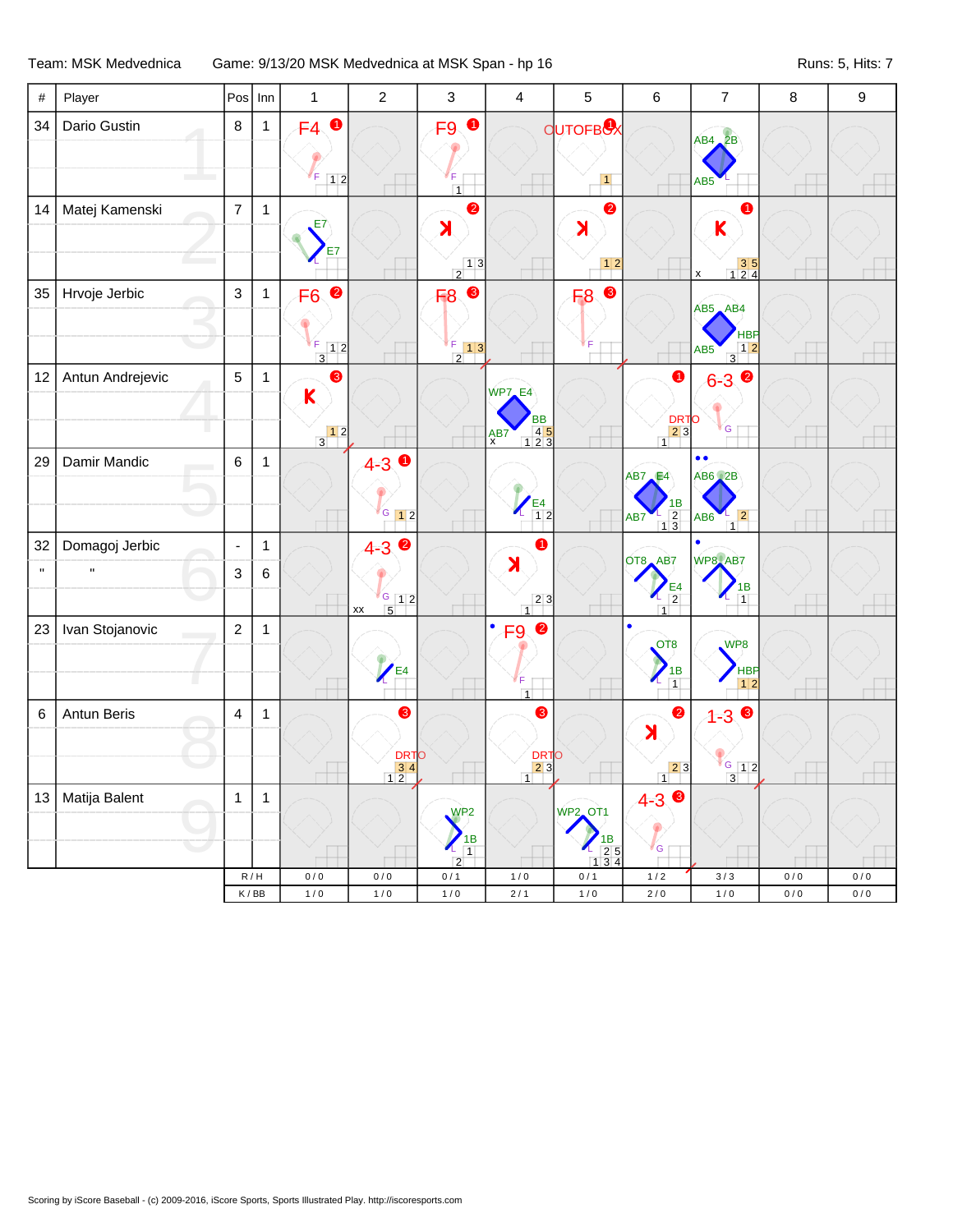Team: MSK Medvednica Game: 9/13/20 MSK Medvednica at MSK Span - hp 16 Runs: 6, Hits: 7

| $\#$               | Player                           |                                             | $Pos$ Inn    | $\mathbf{1}$                                                                 | $\overline{c}$                             | 3                                                                | $\overline{\mathbf{4}}$                                                 | $\overline{5}$                                             | $\,6$                                                                                          | $\overline{7}$                                                                              | $\,8\,$ | $\boldsymbol{9}$ |
|--------------------|----------------------------------|---------------------------------------------|--------------|------------------------------------------------------------------------------|--------------------------------------------|------------------------------------------------------------------|-------------------------------------------------------------------------|------------------------------------------------------------|------------------------------------------------------------------------------------------------|---------------------------------------------------------------------------------------------|---------|------------------|
| 34                 | Dario Gustin                     | $\bf 8$                                     | $\mathbf 1$  | $F4$ <sup>O</sup><br>₫F<br>12                                                |                                            | $\bullet$<br>F9<br>$\overline{1}$                                |                                                                         | <b>QUTOFBOX</b><br>$\vert$ 1                               |                                                                                                | $AB4$ $2B$<br>AB <sub>5</sub>                                                               |         |                  |
| 14                 | Matej Kamenski                   | $\overline{7}$                              | $\mathbf{1}$ | E7<br>E7                                                                     |                                            | $\bullet$<br>$\blacktriangleright$<br>$\frac{1}{2}$ <sup>1</sup> |                                                                         | $\bullet$<br>$\blacktriangleright$                         |                                                                                                | 0<br>$\overline{\mathsf{K}}$<br>$\begin{array}{c} 35 \\ 124 \end{array}$<br>x               |         |                  |
| 35                 | Hrvoje Jerbic                    | $\mathfrak{Z}$                              | $\mathbf{1}$ | 2<br>F6<br>F<br>$\boxed{1}$<br>$\overline{3}$                                |                                            | $\bullet$<br>F <sub>8</sub><br>$F$ 13<br>$\overline{2}$          |                                                                         | $\bullet$<br>F <sub>8</sub>                                |                                                                                                | $AB5$ $AB4$<br><b>HBP</b><br>$\frac{1}{3}$ <sup>12</sup><br>AB5                             |         |                  |
| 12                 | Antun Andrejevic                 | $\overline{5}$                              | 1            | ❸<br>$\mathsf K$<br>$\begin{array}{c c} & 1 & 2 \\ \hline 3 & & \end{array}$ |                                            |                                                                  | <b>WP7</b> E4<br>BB<br>$\begin{array}{c} 45 \\ 123 \end{array}$<br>A B7 |                                                            | $\bullet$<br>DRTO<br>23<br>$\overline{1}$                                                      | 2<br>$6 - 3$<br>G                                                                           |         |                  |
| 29                 | Damir Mandic                     | 6                                           | $\mathbf{1}$ |                                                                              | $4 - 3$ 0<br>$G$ 12                        |                                                                  | $\left\langle \begin{array}{c} 64 \\ 12 \end{array} \right\rangle$      |                                                            | $AB7$ <sub><math>B4</math></sub><br>1B<br>$\begin{array}{c} 2 \\ 1 \ 3 \end{array}$<br>AB7     | $\bullet$<br>$AB6$ $2B$<br>$\vert$ 2<br>AB6<br>$\vert$ 1                                    |         |                  |
| 32<br>$\mathbf{u}$ | Domagoj Jerbic<br>$\blacksquare$ | $\blacksquare$<br>$\ensuremath{\mathsf{3}}$ | 1<br>6       |                                                                              | $4-3$ $\bullet$<br>$\frac{6}{5}$ 1 2<br>XX |                                                                  | $\bullet$<br>$\blacktriangleright$<br>23<br>1                           |                                                            | OT8 AB7<br>$\frac{E4}{2}$<br>$\overline{1}$                                                    | WP8, AB7<br>$\frac{1}{1}$                                                                   |         |                  |
| 23                 | Ivan Stojanovic                  | $\mathbf 2$                                 | $\mathbf{1}$ |                                                                              | $\sqrt{E4}$                                |                                                                  | $\bullet$<br>F <sub>9</sub><br>$\bullet$<br>F<br>$\overline{1}$         |                                                            | $\bullet$<br>OT <sub>8</sub><br>$\sum_{1}$                                                     | WP8<br><b>HBP</b><br>12                                                                     |         |                  |
| 6                  | Antun Beris                      | $\overline{4}$                              | $\mathbf 1$  |                                                                              | 8<br>DRTO<br>34<br>12                      |                                                                  | ❸<br>DRTO<br>23<br>1                                                    |                                                            | $\bullet$<br>$\blacktriangleright$<br>$\begin{array}{c c} & 2 & 3 \\ \hline 1 & & \end{array}$ | $1 - 3$ $\bullet$<br>$\begin{array}{c c} \hline G & 1 & 2 \\ \hline 3 & \hline \end{array}$ |         |                  |
|                    | 13   Matija Balent               | 1                                           | 1            |                                                                              |                                            | WP <sub>2</sub><br>$\frac{1}{1}$<br>2                            |                                                                         | WP2_OT1<br>$\begin{array}{c} 1B \\ -25 \\ 134 \end{array}$ | $4 - 3$ $\bullet$<br>G                                                                         |                                                                                             |         |                  |
|                    |                                  |                                             | R/H          | 0/0                                                                          | 0/0                                        | 0/1                                                              | $1/0$                                                                   | 0/1                                                        | $1/2$                                                                                          | 3/3                                                                                         | 0/0     | 0/0              |
|                    |                                  |                                             | K/BB         | $1/0$                                                                        | $1/0$                                      | $1/0$                                                            | $2/1$                                                                   | $1/0$                                                      | $2/0$                                                                                          | $1/0$                                                                                       | $0/0$   | $0\,/\,0$        |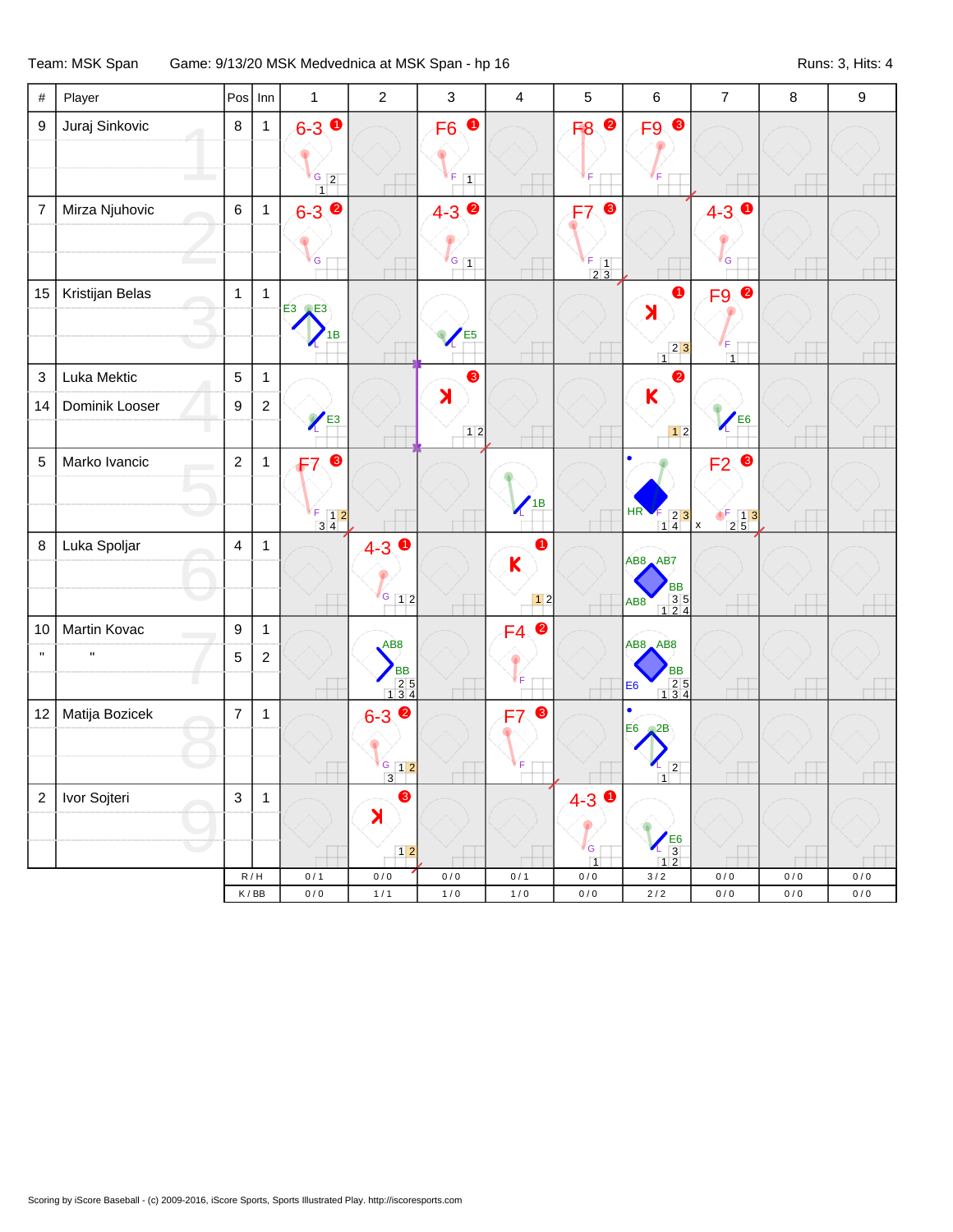| #                         | Player          |                           | $Pos$ Inn                          | $\mathbf{1}$                                                                                  | $\overline{c}$                         | $\,$ 3 $\,$                                     | $\overline{\mathbf{4}}$ | $\mathbf 5$                                                                    | $\,6$                                                                        | $\overline{7}$                                                                                                                              | $\,8\,$   | $\boldsymbol{9}$ |
|---------------------------|-----------------|---------------------------|------------------------------------|-----------------------------------------------------------------------------------------------|----------------------------------------|-------------------------------------------------|-------------------------|--------------------------------------------------------------------------------|------------------------------------------------------------------------------|---------------------------------------------------------------------------------------------------------------------------------------------|-----------|------------------|
| $\boldsymbol{9}$          | Juraj Sinkovic  | $\bf 8$                   | $\mathbf 1$                        | $6-3$ O<br>$G$ 2<br>$\overline{1}$                                                            |                                        | $\bullet$<br>F <sub>6</sub><br>F<br>$\boxed{1}$ |                         | $\bullet$<br>F8                                                                | F9 <sup>®</sup>                                                              |                                                                                                                                             |           |                  |
| $\overline{7}$            | Mirza Njuhovic  | $\,6\,$                   | $\mathbf{1}$                       | $6 - 3$<br>G                                                                                  |                                        | $4 - 3$ $\bullet$<br>$\sqrt[3]{6}$ $\boxed{1}$  |                         | ❸<br>F7<br>$\begin{array}{ c c }\n\hline\nF & 1 \\ \hline\n2 & 3\n\end{array}$ |                                                                              | $4 - 3$ 0<br>${\mathsf G}$                                                                                                                  |           |                  |
| 15                        | Kristijan Belas | $\mathbf{1}$              | $\mathbf{1}$                       | <b>E3 QE3</b><br>1B                                                                           |                                        | E <sub>5</sub>                                  |                         |                                                                                | $\bullet$<br>$\lambda$<br>$23$<br>$\overline{1}$                             | F <sub>9</sub><br>F<br>$\overline{1}$                                                                                                       |           |                  |
| $\ensuremath{\mathsf{3}}$ | Luka Mektic     | $\overline{5}$            | 1                                  |                                                                                               |                                        | $\bullet$                                       |                         |                                                                                | $\bullet$                                                                    |                                                                                                                                             |           |                  |
| 14                        | Dominik Looser  | $\boldsymbol{9}$          | $\overline{a}$                     | $\sqrt{E^3}$                                                                                  |                                        | X<br>12                                         |                         |                                                                                | $\overline{\mathsf{K}}$<br>12                                                | $\sqrt{E}6$                                                                                                                                 |           |                  |
| $\mathbf 5$               | Marko Ivancic   | $\overline{2}$            | $\mathbf{1}$                       | ❸<br>F7<br>$\begin{array}{ c c }\n\hline\nF & 1 & 2 \\ \hline\n3 & 4 & \\\hline\n\end{array}$ |                                        |                                                 | 1B                      |                                                                                | HR<br>$\begin{array}{c c} 2 & 3 \\ 1 & 4 \end{array}$                        | $\bullet$<br>F2<br>$\begin{array}{ c c c }\n\hline\n\text{F} & 1 & 3 \\ \hline\n2 & 5 & \\\hline\n\end{array}$<br>$\boldsymbol{\mathsf{x}}$ |           |                  |
| 8                         | Luka Spoljar    | $\overline{4}$            | 1                                  |                                                                                               | $4-3$ 0<br>$\sqrt{6}$ 12               |                                                 | $\bullet$<br>K<br>12    |                                                                                | AB8 AB7<br>BB<br>$\begin{array}{r} 35 \\ 124 \end{array}$<br>AB8             |                                                                                                                                             |           |                  |
| 10                        | Martin Kovac    | $\boldsymbol{9}$          | $\mathbf{1}$                       |                                                                                               |                                        |                                                 | $\bullet$<br>FA         |                                                                                |                                                                              |                                                                                                                                             |           |                  |
| $\mathbf{u}$              | $\mathbf{H}$    | 5                         | $\overline{c}$                     |                                                                                               | AB8<br>BB<br>25<br>134                 |                                                 |                         |                                                                                | AB8 AB8<br>BB<br>$\begin{array}{r} 25 \\ 134 \end{array}$<br>E <sub>6</sub>  |                                                                                                                                             |           |                  |
| 12                        | Matija Bozicek  | $\overline{7}$            | $\mathbf{1}$                       |                                                                                               | $6 - 3$ $\bullet$<br>$\frac{G}{3}$ 1 2 |                                                 | $\bullet$<br>F7         |                                                                                | E <sub>6</sub><br>$\triangle$ <sup>2B</sup><br>$\boxed{2}$<br>$\overline{1}$ |                                                                                                                                             |           |                  |
| $\sqrt{2}$                | Ivor Sojteri    | $\ensuremath{\mathsf{3}}$ | $\mathbf{1}$                       |                                                                                               | ❸<br>$\blacktriangleright$             |                                                 |                         | $4 - 3$<br>4                                                                   |                                                                              |                                                                                                                                             |           |                  |
|                           |                 |                           |                                    |                                                                                               | $\boxed{1}$                            |                                                 |                         | $\overline{G}$<br>$\overline{1}$                                               | $rac{7}{12}$<br>$rac{12}{12}$                                                |                                                                                                                                             |           |                  |
|                           |                 |                           | R/H                                | 0/1                                                                                           | $0/0$                                  | 0/0                                             | 0/1                     | $0\,/\,0$                                                                      | $3/2$                                                                        | $0/0$                                                                                                                                       | 0/0       | $0\,/\,0$        |
|                           |                 |                           | $\mathsf K$ / $\mathsf B\mathsf B$ | $0\,/\,0$                                                                                     | $1/1$                                  | $1/0$                                           | $1/0$                   | $0\,/\,0$                                                                      | $2/2$                                                                        | $0\,/\,0$                                                                                                                                   | $0\,/\,0$ | $0\,/\,0$        |